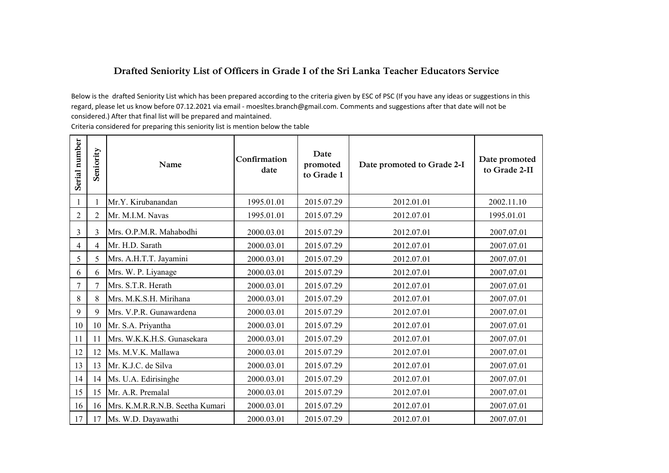## **Drafted Seniority List of Officers in Grade I of the Sri Lanka Teacher Educators Service**

Below is the drafted Seniority List which has been prepared according to the criteria given by ESC of PSC (If you have any ideas or suggestions in this regard, please let us know before 07.12.2021 via email - moesltes.branch@gmail.com. Comments and suggestions after that date will not be considered.) After that final list will be prepared and maintained.

Criteria considered for preparing this seniority list is mention below the table

| Serial number  | Seniority      | Name                            | Confirmation<br>date | Date<br>promoted<br>to Grade 1 | Date promoted to Grade 2-I | Date promoted<br>to Grade 2-II |
|----------------|----------------|---------------------------------|----------------------|--------------------------------|----------------------------|--------------------------------|
|                |                | Mr.Y. Kirubanandan              | 1995.01.01           | 2015.07.29                     | 2012.01.01                 | 2002.11.10                     |
| $\overline{2}$ | $\overline{2}$ | Mr. M.I.M. Navas                | 1995.01.01           | 2015.07.29                     | 2012.07.01                 | 1995.01.01                     |
| $\overline{3}$ | 3              | Mrs. O.P.M.R. Mahabodhi         | 2000.03.01           | 2015.07.29                     | 2012.07.01                 | 2007.07.01                     |
| $\overline{4}$ | 4              | Mr. H.D. Sarath                 | 2000.03.01           | 2015.07.29                     | 2012.07.01                 | 2007.07.01                     |
| 5              | 5              | Mrs. A.H.T.T. Jayamini          | 2000.03.01           | 2015.07.29                     | 2012.07.01                 | 2007.07.01                     |
| 6              | 6              | Mrs. W. P. Liyanage             | 2000.03.01           | 2015.07.29                     | 2012.07.01                 | 2007.07.01                     |
| 7              | $\overline{7}$ | Mrs. S.T.R. Herath              | 2000.03.01           | 2015.07.29                     | 2012.07.01                 | 2007.07.01                     |
| 8              | 8              | Mrs. M.K.S.H. Mirihana          | 2000.03.01           | 2015.07.29                     | 2012.07.01                 | 2007.07.01                     |
| 9              | 9              | Mrs. V.P.R. Gunawardena         | 2000.03.01           | 2015.07.29                     | 2012.07.01                 | 2007.07.01                     |
| 10             | 10             | Mr. S.A. Priyantha              | 2000.03.01           | 2015.07.29                     | 2012.07.01                 | 2007.07.01                     |
| 11             | 11             | Mrs. W.K.K.H.S. Gunasekara      | 2000.03.01           | 2015.07.29                     | 2012.07.01                 | 2007.07.01                     |
| 12             | 12             | Ms. M.V.K. Mallawa              | 2000.03.01           | 2015.07.29                     | 2012.07.01                 | 2007.07.01                     |
| 13             | 13             | Mr. K.J.C. de Silva             | 2000.03.01           | 2015.07.29                     | 2012.07.01                 | 2007.07.01                     |
| 14             | 14             | Ms. U.A. Edirisinghe            | 2000.03.01           | 2015.07.29                     | 2012.07.01                 | 2007.07.01                     |
| 15             | 15             | Mr. A.R. Premalal               | 2000.03.01           | 2015.07.29                     | 2012.07.01                 | 2007.07.01                     |
| 16             | 16             | Mrs. K.M.R.R.N.B. Seetha Kumari | 2000.03.01           | 2015.07.29                     | 2012.07.01                 | 2007.07.01                     |
| 17             | 17             | Ms. W.D. Dayawathi              | 2000.03.01           | 2015.07.29                     | 2012.07.01                 | 2007.07.01                     |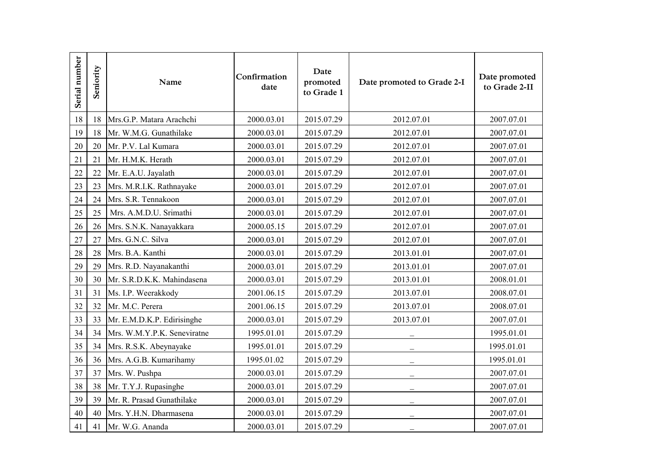| Serial number | Seniority | Name                        | Confirmation<br>date | Date<br>promoted<br>to Grade 1 | Date promoted to Grade 2-I | Date promoted<br>to Grade 2-II |
|---------------|-----------|-----------------------------|----------------------|--------------------------------|----------------------------|--------------------------------|
| 18            | 18        | Mrs.G.P. Matara Arachchi    | 2000.03.01           | 2015.07.29                     | 2012.07.01                 | 2007.07.01                     |
| 19            | 18        | Mr. W.M.G. Gunathilake      | 2000.03.01           | 2015.07.29                     | 2012.07.01                 | 2007.07.01                     |
| 20            | 20        | Mr. P.V. Lal Kumara         | 2000.03.01           | 2015.07.29                     | 2012.07.01                 | 2007.07.01                     |
| 21            | 21        | Mr. H.M.K. Herath           | 2000.03.01           | 2015.07.29                     | 2012.07.01                 | 2007.07.01                     |
| 22            | 22        | Mr. E.A.U. Jayalath         | 2000.03.01           | 2015.07.29                     | 2012.07.01                 | 2007.07.01                     |
| 23            | 23        | Mrs. M.R.I.K. Rathnayake    | 2000.03.01           | 2015.07.29                     | 2012.07.01                 | 2007.07.01                     |
| 24            | 24        | Mrs. S.R. Tennakoon         | 2000.03.01           | 2015.07.29                     | 2012.07.01                 | 2007.07.01                     |
| 25            | 25        | Mrs. A.M.D.U. Srimathi      | 2000.03.01           | 2015.07.29                     | 2012.07.01                 | 2007.07.01                     |
| 26            | 26        | Mrs. S.N.K. Nanayakkara     | 2000.05.15           | 2015.07.29                     | 2012.07.01                 | 2007.07.01                     |
| 27            | 27        | Mrs. G.N.C. Silva           | 2000.03.01           | 2015.07.29                     | 2012.07.01                 | 2007.07.01                     |
| 28            | 28        | Mrs. B.A. Kanthi            | 2000.03.01           | 2015.07.29                     | 2013.01.01                 | 2007.07.01                     |
| 29            | 29        | Mrs. R.D. Nayanakanthi      | 2000.03.01           | 2015.07.29                     | 2013.01.01                 | 2007.07.01                     |
| 30            | 30        | Mr. S.R.D.K.K. Mahindasena  | 2000.03.01           | 2015.07.29                     | 2013.01.01                 | 2008.01.01                     |
| 31            | 31        | Ms. I.P. Weerakkody         | 2001.06.15           | 2015.07.29                     | 2013.07.01                 | 2008.07.01                     |
| 32            | 32        | Mr. M.C. Perera             | 2001.06.15           | 2015.07.29                     | 2013.07.01                 | 2008.07.01                     |
| 33            | 33        | Mr. E.M.D.K.P. Edirisinghe  | 2000.03.01           | 2015.07.29                     | 2013.07.01                 | 2007.07.01                     |
| 34            | 34        | Mrs. W.M.Y.P.K. Seneviratne | 1995.01.01           | 2015.07.29                     |                            | 1995.01.01                     |
| 35            | 34        | Mrs. R.S.K. Abeynayake      | 1995.01.01           | 2015.07.29                     |                            | 1995.01.01                     |
| 36            | 36        | Mrs. A.G.B. Kumarihamy      | 1995.01.02           | 2015.07.29                     | $\overline{\phantom{0}}$   | 1995.01.01                     |
| 37            | 37        | Mrs. W. Pushpa              | 2000.03.01           | 2015.07.29                     |                            | 2007.07.01                     |
| 38            | 38        | Mr. T.Y.J. Rupasinghe       | 2000.03.01           | 2015.07.29                     |                            | 2007.07.01                     |
| 39            | 39        | Mr. R. Prasad Gunathilake   | 2000.03.01           | 2015.07.29                     |                            | 2007.07.01                     |
| 40            | 40        | Mrs. Y.H.N. Dharmasena      | 2000.03.01           | 2015.07.29                     |                            | 2007.07.01                     |
| 41            | 41        | Mr. W.G. Ananda             | 2000.03.01           | 2015.07.29                     |                            | 2007.07.01                     |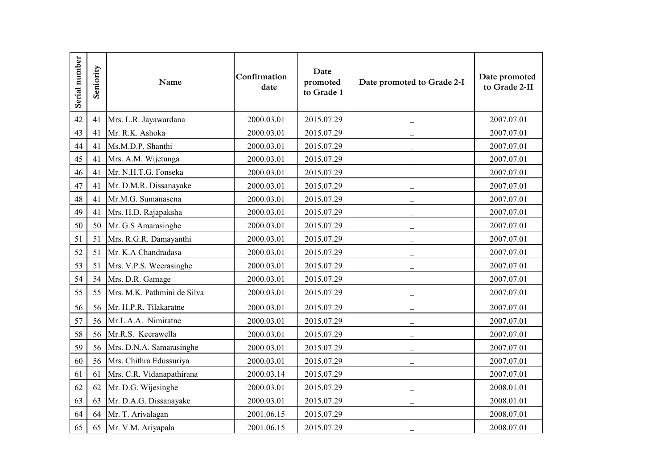| Serial number | Seniority | Name                        | Confirmation<br>date | Date<br>promoted<br>to Grade 1 | Date promoted to Grade 2-I | Date promoted<br>to Grade 2-II |
|---------------|-----------|-----------------------------|----------------------|--------------------------------|----------------------------|--------------------------------|
| 42            | 41        | Mrs. L.R. Jayawardana       | 2000.03.01           | 2015.07.29                     |                            | 2007.07.01                     |
| 43            | 41        | Mr. R.K. Ashoka             | 2000.03.01           | 2015.07.29                     |                            | 2007.07.01                     |
| 44            | 41        | Ms.M.D.P. Shanthi           | 2000.03.01           | 2015.07.29                     |                            | 2007.07.01                     |
| 45            | 41        | Mrs. A.M. Wijetunga         | 2000.03.01           | 2015.07.29                     |                            | 2007.07.01                     |
| 46            | 41        | Mr. N.H.T.G. Fonseka        | 2000.03.01           | 2015.07.29                     |                            | 2007.07.01                     |
| 47            | 41        | Mr. D.M.R. Dissanayake      | 2000.03.01           | 2015.07.29                     |                            | 2007.07.01                     |
| 48            | 41        | Mr.M.G. Sumanasena          | 2000.03.01           | 2015.07.29                     |                            | 2007.07.01                     |
| 49            | 41        | Mrs. H.D. Rajapaksha        | 2000.03.01           | 2015.07.29                     | $\overline{\phantom{0}}$   | 2007.07.01                     |
| 50            | 50        | Mr. G.S Amarasinghe         | 2000.03.01           | 2015.07.29                     |                            | 2007.07.01                     |
| 51            | 51        | Mrs. R.G.R. Damayanthi      | 2000.03.01           | 2015.07.29                     |                            | 2007.07.01                     |
| 52            | 51        | Mr. K.A Chandradasa         | 2000.03.01           | 2015.07.29                     |                            | 2007.07.01                     |
| 53            | 51        | Mrs. V.P.S. Weerasinghe     | 2000.03.01           | 2015.07.29                     |                            | 2007.07.01                     |
| 54            | 54        | Mrs. D.R. Gamage            | 2000.03.01           | 2015.07.29                     |                            | 2007.07.01                     |
| 55            | 55        | Mrs. M.K. Pathmini de Silva | 2000.03.01           | 2015.07.29                     |                            | 2007.07.01                     |
| 56            | 56        | Mr. H.P.R. Tilakaratne      | 2000.03.01           | 2015.07.29                     | $\overline{\phantom{0}}$   | 2007.07.01                     |
| 57            | 56        | Mr.L.A.A. Nimiratne         | 2000.03.01           | 2015.07.29                     |                            | 2007.07.01                     |
| 58            | 56        | Mr.R.S. Keerawella          | 2000.03.01           | 2015.07.29                     |                            | 2007.07.01                     |
| 59            | 56        | Mrs. D.N.A. Samarasinghe    | 2000.03.01           | 2015.07.29                     |                            | 2007.07.01                     |
| 60            | 56        | Mrs. Chithra Edussuriya     | 2000.03.01           | 2015.07.29                     |                            | 2007.07.01                     |
| 61            | 61        | Mrs. C.R. Vidanapathirana   | 2000.03.14           | 2015.07.29                     |                            | 2007.07.01                     |
| 62            | 62        | Mr. D.G. Wijesinghe         | 2000.03.01           | 2015.07.29                     |                            | 2008.01.01                     |
| 63            | 63        | Mr. D.A.G. Dissanayake      | 2000.03.01           | 2015.07.29                     |                            | 2008.01.01                     |
| 64            | 64        | Mr. T. Arivalagan           | 2001.06.15           | 2015.07.29                     |                            | 2008.07.01                     |
| 65            | 65        | Mr. V.M. Ariyapala          | 2001.06.15           | 2015.07.29                     |                            | 2008.07.01                     |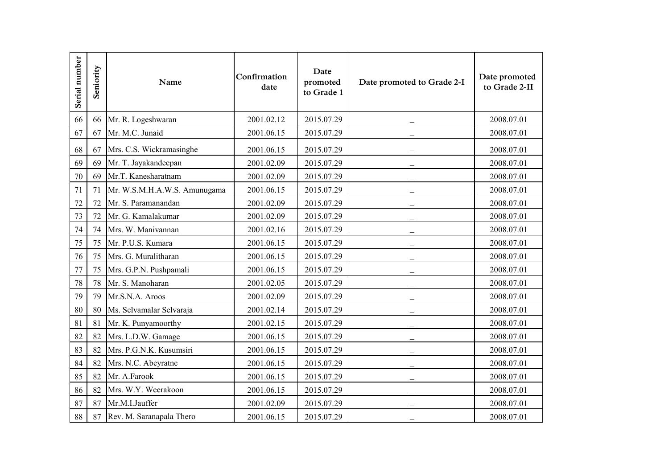| Serial number | Seniority | Name                         | Confirmation<br>date | Date<br>promoted<br>to Grade 1 | Date promoted to Grade 2-I | Date promoted<br>to Grade 2-II |
|---------------|-----------|------------------------------|----------------------|--------------------------------|----------------------------|--------------------------------|
| 66            | 66        | Mr. R. Logeshwaran           | 2001.02.12           | 2015.07.29                     |                            | 2008.07.01                     |
| 67            | 67        | Mr. M.C. Junaid              | 2001.06.15           | 2015.07.29                     |                            | 2008.07.01                     |
| 68            | 67        | Mrs. C.S. Wickramasinghe     | 2001.06.15           | 2015.07.29                     |                            | 2008.07.01                     |
| 69            | 69        | Mr. T. Jayakandeepan         | 2001.02.09           | 2015.07.29                     |                            | 2008.07.01                     |
| 70            | 69        | Mr.T. Kanesharatnam          | 2001.02.09           | 2015.07.29                     |                            | 2008.07.01                     |
| 71            | 71        | Mr. W.S.M.H.A.W.S. Amunugama | 2001.06.15           | 2015.07.29                     |                            | 2008.07.01                     |
| 72            | 72        | Mr. S. Paramanandan          | 2001.02.09           | 2015.07.29                     |                            | 2008.07.01                     |
| 73            | 72        | Mr. G. Kamalakumar           | 2001.02.09           | 2015.07.29                     |                            | 2008.07.01                     |
| 74            | 74        | Mrs. W. Manivannan           | 2001.02.16           | 2015.07.29                     |                            | 2008.07.01                     |
| 75            | 75        | Mr. P.U.S. Kumara            | 2001.06.15           | 2015.07.29                     |                            | 2008.07.01                     |
| 76            | 75        | Mrs. G. Muralitharan         | 2001.06.15           | 2015.07.29                     |                            | 2008.07.01                     |
| 77            | 75        | Mrs. G.P.N. Pushpamali       | 2001.06.15           | 2015.07.29                     |                            | 2008.07.01                     |
| 78            | 78        | Mr. S. Manoharan             | 2001.02.05           | 2015.07.29                     |                            | 2008.07.01                     |
| 79            | 79        | Mr.S.N.A. Aroos              | 2001.02.09           | 2015.07.29                     |                            | 2008.07.01                     |
| 80            | 80        | Ms. Selvamalar Selvaraja     | 2001.02.14           | 2015.07.29                     |                            | 2008.07.01                     |
| 81            | 81        | Mr. K. Punyamoorthy          | 2001.02.15           | 2015.07.29                     |                            | 2008.07.01                     |
| 82            | 82        | Mrs. L.D.W. Gamage           | 2001.06.15           | 2015.07.29                     | $\overline{\phantom{0}}$   | 2008.07.01                     |
| 83            | 82        | Mrs. P.G.N.K. Kusumsiri      | 2001.06.15           | 2015.07.29                     |                            | 2008.07.01                     |
| 84            | 82        | Mrs. N.C. Abeyratne          | 2001.06.15           | 2015.07.29                     |                            | 2008.07.01                     |
| 85            | 82        | Mr. A.Farook                 | 2001.06.15           | 2015.07.29                     |                            | 2008.07.01                     |
| 86            | 82        | Mrs. W.Y. Weerakoon          | 2001.06.15           | 2015.07.29                     |                            | 2008.07.01                     |
| 87            | 87        | Mr.M.I.Jauffer               | 2001.02.09           | 2015.07.29                     |                            | 2008.07.01                     |
| 88            | 87        | Rev. M. Saranapala Thero     | 2001.06.15           | 2015.07.29                     |                            | 2008.07.01                     |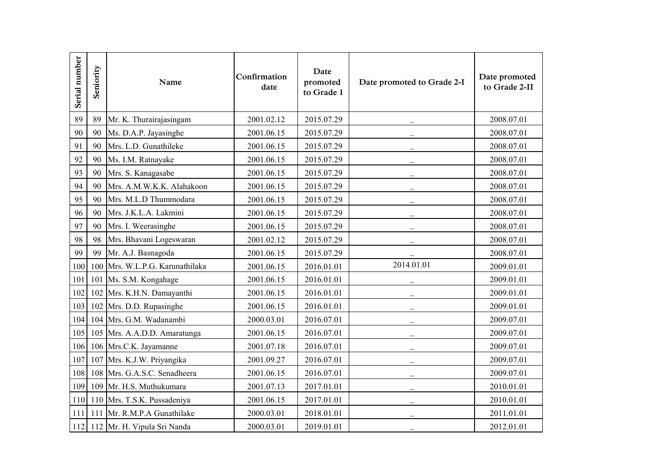| Serial number | Seniority | Name                            | Confirmation<br>date | Date<br>promoted<br>to Grade 1 | Date promoted to Grade 2-I | Date promoted<br>to Grade 2-II |
|---------------|-----------|---------------------------------|----------------------|--------------------------------|----------------------------|--------------------------------|
| 89            | 89        | Mr. K. Thurairajasingam         | 2001.02.12           | 2015.07.29                     |                            | 2008.07.01                     |
| 90            | 90        | Ms. D.A.P. Jayasinghe           | 2001.06.15           | 2015.07.29                     |                            | 2008.07.01                     |
| 91            | 90        | Mrs. L.D. Gunathileke           | 2001.06.15           | 2015.07.29                     |                            | 2008.07.01                     |
| 92            | 90        | Ms. I.M. Ratnayake              | 2001.06.15           | 2015.07.29                     |                            | 2008.07.01                     |
| 93            | 90        | Mrs. S. Kanagasabe              | 2001.06.15           | 2015.07.29                     |                            | 2008.07.01                     |
| 94            | 90        | Mrs. A.M.W.K.K. Alahakoon       | 2001.06.15           | 2015.07.29                     |                            | 2008.07.01                     |
| 95            | 90        | Mrs. M.L.D Thummodara           | 2001.06.15           | 2015.07.29                     | $\overline{\phantom{0}}$   | 2008.07.01                     |
| 96            | 90        | Mrs. J.K.L.A. Lakmini           | 2001.06.15           | 2015.07.29                     |                            | 2008.07.01                     |
| 97            | 90        | Mrs. I. Weerasinghe             | 2001.06.15           | 2015.07.29                     |                            | 2008.07.01                     |
| 98            | 98        | Mrs. Bhavani Logeswaran         | 2001.02.12           | 2015.07.29                     |                            | 2008.07.01                     |
| 99            | 99        | Mr. A.J. Basnagoda              | 2001.06.15           | 2015.07.29                     |                            | 2008.07.01                     |
| 100           | 100       | Mrs. W.L.P.G. Karunathilaka     | 2001.06.15           | 2016.01.01                     | 2014.01.01                 | 2009.01.01                     |
| 101           |           | 101 Ms. S.M. Kongahage          | 2001.06.15           | 2016.01.01                     |                            | 2009.01.01                     |
| 102           |           | 102 Mrs. K.H.N. Damayanthi      | 2001.06.15           | 2016.01.01                     |                            | 2009.01.01                     |
| 103           | 102       | Mrs. D.D. Rupasinghe            | 2001.06.15           | 2016.01.01                     |                            | 2009.01.01                     |
| 104           |           | 104 Mrs. G.M. Wadanambi         | 2000.03.01           | 2016.07.01                     |                            | 2009.07.01                     |
| 105           |           | 105 Mrs. A.A.D.D. Amaratunga    | 2001.06.15           | 2016.07.01                     |                            | 2009.07.01                     |
| 106           |           | 106 Mrs.C.K. Jayamanne          | 2001.07.18           | 2016.07.01                     |                            | 2009.07.01                     |
| 107           |           | 107 Mrs. K.J.W. Priyangika      | 2001.09.27           | 2016.07.01                     | $\overline{\phantom{0}}$   | 2009.07.01                     |
| 108           | 108       | Mrs. G.A.S.C. Senadheera        | 2001.06.15           | 2016.07.01                     | $\overline{\phantom{0}}$   | 2009.07.01                     |
| 109           |           | 109 Mr. H.S. Muthukumara        | 2001.07.13           | 2017.01.01                     |                            | 2010.01.01                     |
| 110           |           | 110 Mrs. T.S.K. Pussadeniya     | 2001.06.15           | 2017.01.01                     |                            | 2010.01.01                     |
| 111           |           | 111 Mr. R.M.P.A Gunathilake     | 2000.03.01           | 2018.01.01                     |                            | 2011.01.01                     |
|               |           | 112 112 Mr. H. Vipula Sri Nanda | 2000.03.01           | 2019.01.01                     |                            | 2012.01.01                     |